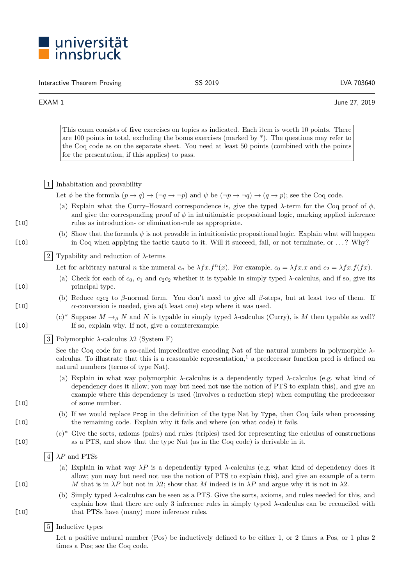

Interactive Theorem Proving and CSS 2019 Contractive Theorem Proving and CSS 2019

EXAM 1 June 27, 2019

This exam consists of five exercises on topics as indicated. Each item is worth 10 points. There are 100 points in total, excluding the bonus exercises (marked by  $*$ ). The questions may refer to the Coq code as on the separate sheet. You need at least 50 points (combined with the points for the presentation, if this applies) to pass.

1 Inhabitation and provability

Let  $\phi$  be the formula  $(p \to q) \to (\neg q \to \neg p)$  and  $\psi$  be  $(\neg p \to \neg q) \to (q \to p)$ ; see the Coq code.

- (a) Explain what the Curry–Howard correspondence is, give the typed  $\lambda$ -term for the Coq proof of  $\phi$ , and give the corresponding proof of  $\phi$  in intuitionistic propositional logic, marking applied inference [10] rules as introduction- or elimination-rule as appropriate.
- (b) Show that the formula  $\psi$  is not provable in intuitionistic propositional logic. Explain what will happen [10] in Coq when applying the tactic tauto to it. Will it succeed, fail, or not terminate, or . . . ? Why?

2 Typability and reduction of  $\lambda$ -terms

Let for arbitrary natural *n* the numeral  $c_n$  be  $\lambda fx.f^n(x)$ . For example,  $c_0 = \lambda fx.x$  and  $c_2 = \lambda fx.f(fx)$ .

- (a) Check for each of  $c_0$ ,  $c_1$  and  $c_2c_2$  whether it is typable in simply typed  $\lambda$ -calculus, and if so, give its [10] principal type.
- (b) Reduce  $c_2c_2$  to  $\beta$ -normal form. You don't need to give all  $\beta$ -steps, but at least two of them. If [10]  $\alpha$ -conversion is needed, give a(t least one) step where it was used.
- (c)<sup>\*</sup> Suppose  $M \rightarrow_{\beta} N$  and N is typable in simply typed  $\lambda$ -calculus (Curry), is M then typable as well? [10] If so, explain why. If not, give a counterexample.

 $|3|$  Polymorphic  $\lambda$ -calculus  $\lambda$ 2 (System F)

See the Coq code for a so-called impredicative encoding Nat of the natural numbers in polymorphic  $\lambda$ calculus. To illustrate that this is a reasonable representation, $\frac{1}{1}$  a predecessor function pred is defined on natural numbers (terms of type Nat).

- (a) Explain in what way polymorphic  $\lambda$ -calculus is a dependently typed  $\lambda$ -calculus (e.g. what kind of dependency does it allow; you may but need not use the notion of PTS to explain this), and give an example where this dependency is used (involves a reduction step) when computing the predecessor [10] of some number.
- (b) If we would replace Prop in the definition of the type Nat by Type, then Coq fails when processing [10] the remaining code. Explain why it fails and where (on what code) it fails.
- $(c)^*$  Give the sorts, axioms (pairs) and rules (triples) used for representing the calculus of constructions [10] as a PTS, and show that the type Nat (as in the Coq code) is derivable in it.
	- $|4| \lambda P$  and PTSs
- (a) Explain in what way  $\lambda P$  is a dependently typed  $\lambda$ -calculus (e.g. what kind of dependency does it allow; you may but need not use the notion of PTS to explain this), and give an example of a term [10] *M* that is in  $\lambda P$  but not in  $\lambda 2$ ; show that *M* indeed is in  $\lambda P$  and argue why it is not in  $\lambda 2$ .
- (b) Simply typed  $\lambda$ -calculus can be seen as a PTS. Give the sorts, axioms, and rules needed for this, and explain how that there are only 3 inference rules in simply typed  $\lambda$ -calculus can be reconciled with [10] that PTSs have (many) more inference rules.

## 5 Inductive types

Let a positive natural number (Pos) be inductively defined to be either 1, or 2 times a Pos, or 1 plus 2 times a Pos; see the Coq code.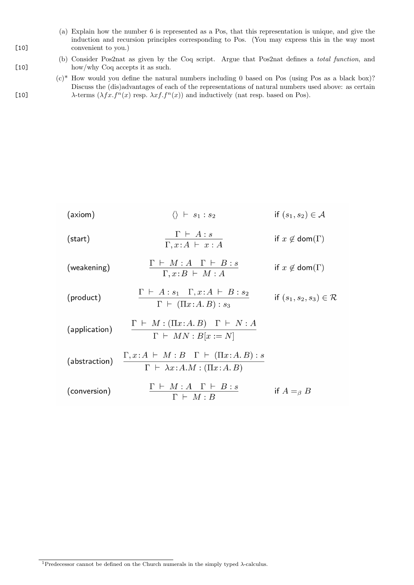- (a) Explain how the number 6 is represented as a Pos, that this representation is unique, and give the induction and recursion principles corresponding to Pos. (You may express this in the way most [10] convenient to you.)
- (b) Consider Pos2nat as given by the Coq script. Argue that Pos2nat defines a *total function*, and [10] how/why Coq accepts it as such.
- $(c)$ <sup>\*</sup> How would you define the natural numbers including 0 based on Pos (using Pos as a black box)? Discuss the (dis)advantages of each of the representations of natural numbers used above: as certain [10]  $\lambda$ -terms  $(\lambda fx.f^n(x)$  resp.  $\lambda xf.f^n(x))$  and inductively (nat resp. based on Pos).

$$
(axiom)
$$
\n
$$
\langle \rangle \vdash s_1 : s_2 \qquad \text{if } (s_1, s_2) \in \mathcal{A}
$$
\n
$$
\frac{\Gamma \vdash A : s}{\Gamma, x : A \vdash x : A} \qquad \text{if } x \notin \text{dom}(\Gamma)
$$
\n
$$
\text{(weakening)}
$$
\n
$$
\frac{\Gamma \vdash M : A \quad \Gamma \vdash B : s}{\Gamma, x : B \vdash M : A} \qquad \text{if } x \notin \text{dom}(\Gamma)
$$
\n
$$
\text{(product)}
$$
\n
$$
\frac{\Gamma \vdash A : s_1 \quad \Gamma, x : A \vdash B : s_2}{\Gamma \vdash (\Pi x : A . B) : s_3} \qquad \text{if } (s_1, s_2, s_3) \in \mathcal{R}
$$
\n
$$
\text{(application)}
$$
\n
$$
\frac{\Gamma \vdash M : (\Pi x : A . B) \quad \Gamma \vdash N : A}{\Gamma \vdash MN : B[x := N]}
$$
\n
$$
\text{(abstraction)}
$$
\n
$$
\frac{\Gamma, x : A \vdash M : B \quad \Gamma \vdash (\Pi x : A . B) : s}{\Gamma \vdash \lambda x : A . M : (\Pi x : A . B)}
$$
\n
$$
\text{(conversion)}
$$
\n
$$
\frac{\Gamma \vdash M : A \quad \Gamma \vdash B : s}{\Gamma \vdash M : B} \qquad \text{if } A =_\beta B
$$

 $^1\text{Predeessor}$  cannot be defined on the Church numerals in the simply typed  $\lambda\text{-calculus}.$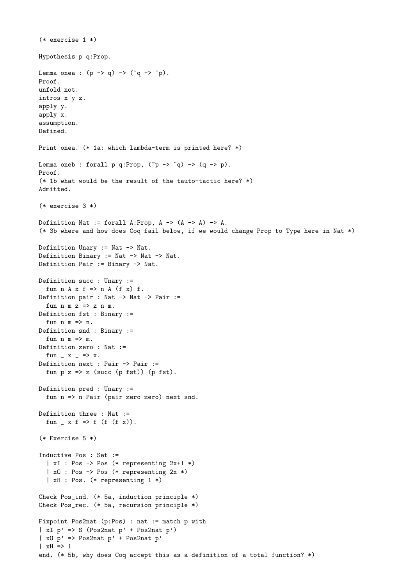```
(* exercise 1 *)
Hypothesis p q:Prop.
Lemma onea : (p \rightarrow q) \rightarrow (q \rightarrow q).
Proof.
unfold not.
intros x y z.
apply y.
apply x.
assumption.
Defined.
Print onea. (* 1a: which lambda-term is printed here? *)
Lemma oneb : forall p q:Prop, ({\tilde p} \rightarrow {\tilde q}) \rightarrow (q \rightarrow p).
Proof.
(* 1b what would be the result of the tauto-tactic here? *)
Admitted.
(* exercise 3 *)
Definition Nat := forall A: Prop, A \rightarrow (A \rightarrow A) \rightarrow A.
(* 3b where and how does Coq fail below, if we would change Prop to Type here in Nat *)
Definition Unary := Nat -> Nat.
Definition Binary := Nat -> Nat -> Nat.
Definition Pair := Binary -> Nat.
Definition succ : Unary :=
  fun n A x f \Rightarrow n A (f x) f.
Definition pair : Nat -> Nat -> Pair :=
  fun n \leq z \geq z n \leq n.
Definition fst : Binary :=
  fun n m => n.
Definition snd : Binary :=
  fun n m => m.
Definition zero : Nat :=
  fun -x = \ge x.
Definition next : Pair -> Pair :=
  fun p \, z \Rightarrow z (succ (p fst)) (p fst).
Definition pred : Unary :=
  fun n => n Pair (pair zero zero) next snd.
Definition three : Nat :=
  fun \Box x f => f (f (f x)).
(* Exercise 5 *)
Inductive Pos : Set :=
  | xI : Pos -> Pos (* representing 2x+1 *)
  | xO : Pos -> Pos (* representing 2x *)
  | xH : Pos. (* representing 1 *)
Check Pos_ind. (* 5a, induction principle *)
Check Pos_rec. (* 5a, recursion principle *)
Fixpoint Pos2nat (p:Pos) : nat := match p with
| xI p' => S (Pos2nat p' + Pos2nat p')
|x0 p' \Rightarrow Pos2nat p' + Pos2nat p'| xH \Rightarrow 1end. (* 5b, why does Coq accept this as a definition of a total function? *)
```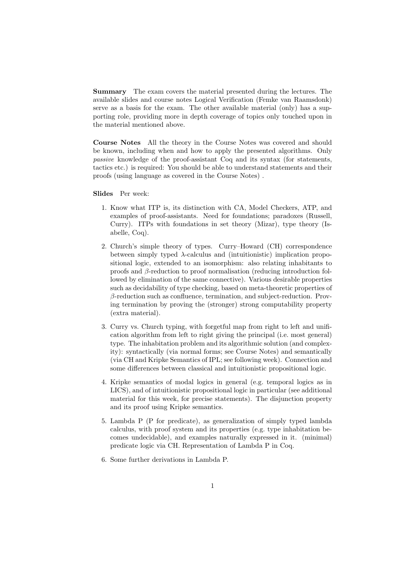Summary The exam covers the material presented during the lectures. The available slides and course notes Logical Verification (Femke van Raamsdonk) serve as a basis for the exam. The other available material (only) has a supporting role, providing more in depth coverage of topics only touched upon in the material mentioned above.

Course Notes All the theory in the Course Notes was covered and should be known, including when and how to apply the presented algorithms. Only *passive* knowledge of the proof-assistant Coq and its syntax (for statements, tactics etc.) is required: You should be able to understand statements and their proofs (using language as covered in the Course Notes) .

Slides Per week:

- 1. Know what ITP is, its distinction with CA, Model Checkers, ATP, and examples of proof-assistants. Need for foundations; paradoxes (Russell, Curry). ITPs with foundations in set theory (Mizar), type theory (Isabelle, Coq).
- 2. Church's simple theory of types. Curry–Howard (CH) correspondence between simply typed  $\lambda$ -calculus and (intuitionistic) implication propositional logic, extended to an isomorphism: also relating inhabitants to proofs and  $\beta$ -reduction to proof normalisation (reducing introduction followed by elimination of the same connective). Various desirable properties such as decidability of type checking, based on meta-theoretic properties of  $\beta$ -reduction such as confluence, termination, and subject-reduction. Proving termination by proving the (stronger) strong computability property (extra material).
- 3. Curry vs. Church typing, with forgetful map from right to left and unification algorithm from left to right giving the principal (i.e. most general) type. The inhabitation problem and its algorithmic solution (and complexity): syntactically (via normal forms; see Course Notes) and semantically (via CH and Kripke Semantics of IPL; see following week). Connection and some differences between classical and intuitionistic propositional logic.
- 4. Kripke semantics of modal logics in general (e.g. temporal logics as in LICS), and of intuitionistic propositional logic in particular (see additional material for this week, for precise statements). The disjunction property and its proof using Kripke semantics.
- 5. Lambda P (P for predicate), as generalization of simply typed lambda calculus, with proof system and its properties (e.g. type inhabitation becomes undecidable), and examples naturally expressed in it. (minimal) predicate logic via CH. Representation of Lambda P in Coq.
- 6. Some further derivations in Lambda P.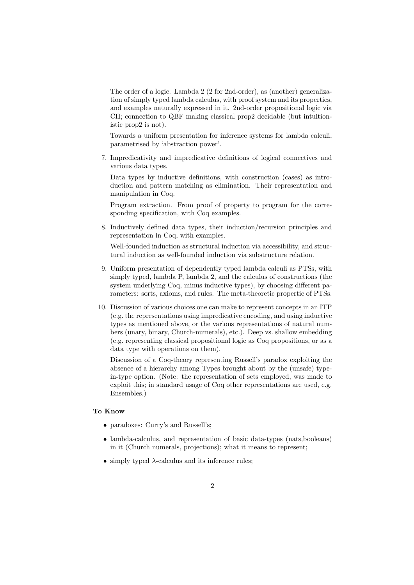The order of a logic. Lambda 2 (2 for 2nd-order), as (another) generalization of simply typed lambda calculus, with proof system and its properties, and examples naturally expressed in it. 2nd-order propositional logic via CH; connection to QBF making classical prop2 decidable (but intuitionistic prop2 is not).

Towards a uniform presentation for inference systems for lambda calculi, parametrised by 'abstraction power'.

7. Impredicativity and impredicative definitions of logical connectives and various data types.

Data types by inductive definitions, with construction (cases) as introduction and pattern matching as elimination. Their representation and manipulation in Coq.

Program extraction. From proof of property to program for the corresponding specification, with Coq examples.

8. Inductively defined data types, their induction/recursion principles and representation in Coq, with examples.

Well-founded induction as structural induction via accessibility, and structural induction as well-founded induction via substructure relation.

- 9. Uniform presentation of dependently typed lambda calculi as PTSs, with simply typed, lambda P, lambda 2, and the calculus of constructions (the system underlying Coq, minus inductive types), by choosing different parameters: sorts, axioms, and rules. The meta-theoretic propertie of PTSs.
- 10. Discussion of various choices one can make to represent concepts in an ITP (e.g. the representations using impredicative encoding, and using inductive types as mentioned above, or the various representations of natural numbers (unary, binary, Church-numerals), etc.). Deep vs. shallow embedding (e.g. representing classical propositional logic as Coq propositions, or as a data type with operations on them).

Discussion of a Coq-theory representing Russell's paradox exploiting the absence of a hierarchy among Types brought about by the (unsafe) typein-type option. (Note: the representation of sets employed, was made to exploit this; in standard usage of Coq other representations are used, e.g. Ensembles.)

## To Know

- paradoxes: Curry's and Russell's:
- lambda-calculus, and representation of basic data-types (nats,booleans) in it (Church numerals, projections); what it means to represent;
- simply typed  $\lambda$ -calculus and its inference rules: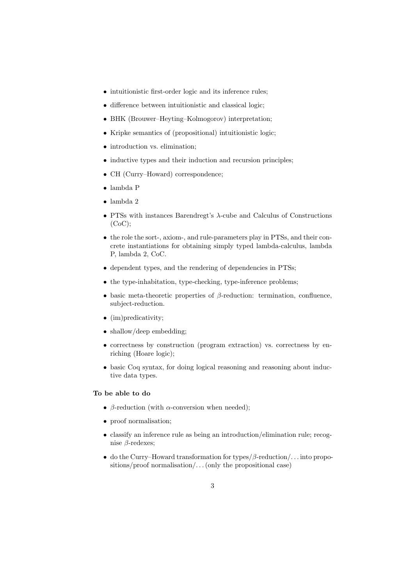- intuitionistic first-order logic and its inference rules;
- difference between intuitionistic and classical logic;
- *•* BHK (Brouwer–Heyting–Kolmogorov) interpretation;
- *•* Kripke semantics of (propositional) intuitionistic logic;
- *•* introduction vs. elimination;
- inductive types and their induction and recursion principles;
- CH (Curry–Howard) correspondence;
- *•* lambda P
- *•* lambda 2
- PTSs with instances Barendregt's  $\lambda$ -cube and Calculus of Constructions (CoC);
- the role the sort-, axiom-, and rule-parameters play in PTSs, and their concrete instantiations for obtaining simply typed lambda-calculus, lambda P, lambda 2, CoC.
- dependent types, and the rendering of dependencies in PTSs;
- the type-inhabitation, type-checking, type-inference problems;
- basic meta-theoretic properties of  $\beta$ -reduction: termination, confluence, subject-reduction.
- (im)predicativity;
- shallow/deep embedding:
- correctness by construction (program extraction) vs. correctness by enriching (Hoare logic);
- basic Coq syntax, for doing logical reasoning and reasoning about inductive data types.

## To be able to do

- $\beta$ -reduction (with  $\alpha$ -conversion when needed);
- proof normalisation;
- classify an inference rule as being an introduction/elimination rule; recognise  $\beta$ -redexes;
- do the Curry–Howard transformation for types/ $\beta$ -reduction/... into propositions/proof normalisation/. . . (only the propositional case)